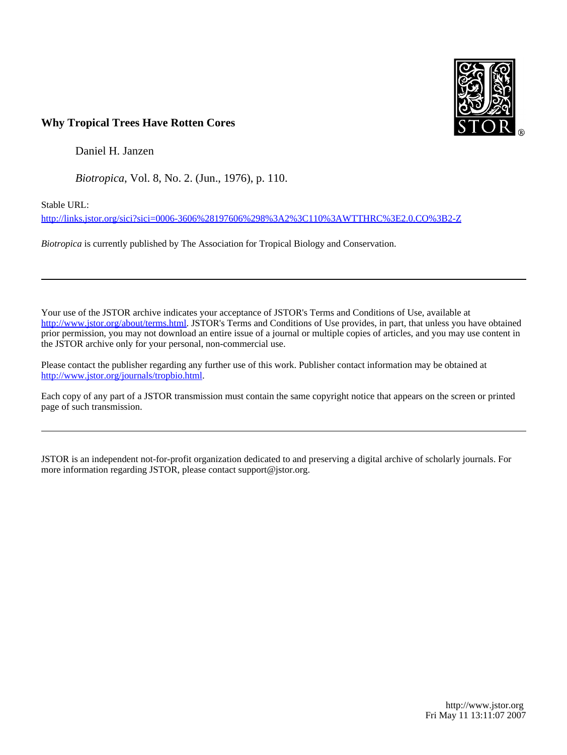

## **Why Tropical Trees Have Rotten Cores**

Daniel H. Janzen

*Biotropica*, Vol. 8, No. 2. (Jun., 1976), p. 110.

Stable URL:

<http://links.jstor.org/sici?sici=0006-3606%28197606%298%3A2%3C110%3AWTTHRC%3E2.0.CO%3B2-Z>

*Biotropica* is currently published by The Association for Tropical Biology and Conservation.

Your use of the JSTOR archive indicates your acceptance of JSTOR's Terms and Conditions of Use, available at [http://www.jstor.org/about/terms.html.](http://www.jstor.org/about/terms.html) JSTOR's Terms and Conditions of Use provides, in part, that unless you have obtained prior permission, you may not download an entire issue of a journal or multiple copies of articles, and you may use content in the JSTOR archive only for your personal, non-commercial use.

Please contact the publisher regarding any further use of this work. Publisher contact information may be obtained at <http://www.jstor.org/journals/tropbio.html>.

Each copy of any part of a JSTOR transmission must contain the same copyright notice that appears on the screen or printed page of such transmission.

JSTOR is an independent not-for-profit organization dedicated to and preserving a digital archive of scholarly journals. For more information regarding JSTOR, please contact support@jstor.org.